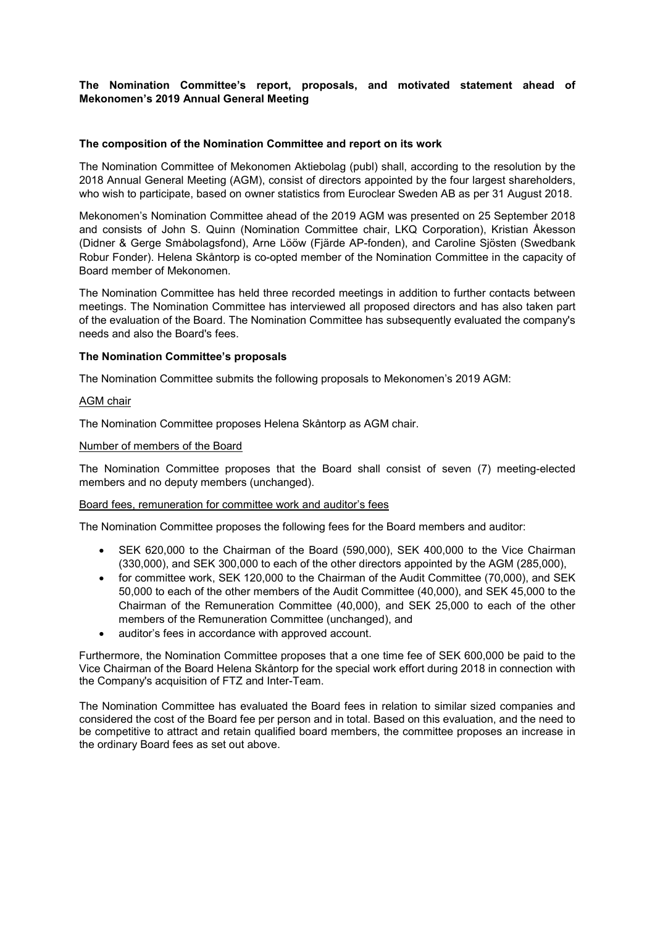# **The Nomination Committee's report, proposals, and motivated statement ahead of Mekonomen's 2019 Annual General Meeting**

### **The composition of the Nomination Committee and report on its work**

The Nomination Committee of Mekonomen Aktiebolag (publ) shall, according to the resolution by the 2018 Annual General Meeting (AGM), consist of directors appointed by the four largest shareholders, who wish to participate, based on owner statistics from Euroclear Sweden AB as per 31 August 2018.

Mekonomen's Nomination Committee ahead of the 2019 AGM was presented on 25 September 2018 and consists of John S. Quinn (Nomination Committee chair, LKQ Corporation), Kristian Åkesson (Didner & Gerge Småbolagsfond), Arne Lööw (Fjärde AP-fonden), and Caroline Sjösten (Swedbank Robur Fonder). Helena Skåntorp is co-opted member of the Nomination Committee in the capacity of Board member of Mekonomen.

The Nomination Committee has held three recorded meetings in addition to further contacts between meetings. The Nomination Committee has interviewed all proposed directors and has also taken part of the evaluation of the Board. The Nomination Committee has subsequently evaluated the company's needs and also the Board's fees.

## **The Nomination Committee's proposals**

The Nomination Committee submits the following proposals to Mekonomen's 2019 AGM:

#### AGM chair

The Nomination Committee proposes Helena Skåntorp as AGM chair.

#### Number of members of the Board

The Nomination Committee proposes that the Board shall consist of seven (7) meeting-elected members and no deputy members (unchanged).

#### Board fees, remuneration for committee work and auditor's fees

The Nomination Committee proposes the following fees for the Board members and auditor:

- SEK 620,000 to the Chairman of the Board (590,000), SEK 400,000 to the Vice Chairman (330,000), and SEK 300,000 to each of the other directors appointed by the AGM (285,000),
- for committee work, SEK 120,000 to the Chairman of the Audit Committee (70,000), and SEK 50,000 to each of the other members of the Audit Committee (40,000), and SEK 45,000 to the Chairman of the Remuneration Committee (40,000), and SEK 25,000 to each of the other members of the Remuneration Committee (unchanged), and
- auditor's fees in accordance with approved account.

Furthermore, the Nomination Committee proposes that a one time fee of SEK 600,000 be paid to the Vice Chairman of the Board Helena Skåntorp for the special work effort during 2018 in connection with the Company's acquisition of FTZ and Inter-Team.

The Nomination Committee has evaluated the Board fees in relation to similar sized companies and considered the cost of the Board fee per person and in total. Based on this evaluation, and the need to be competitive to attract and retain qualified board members, the committee proposes an increase in the ordinary Board fees as set out above.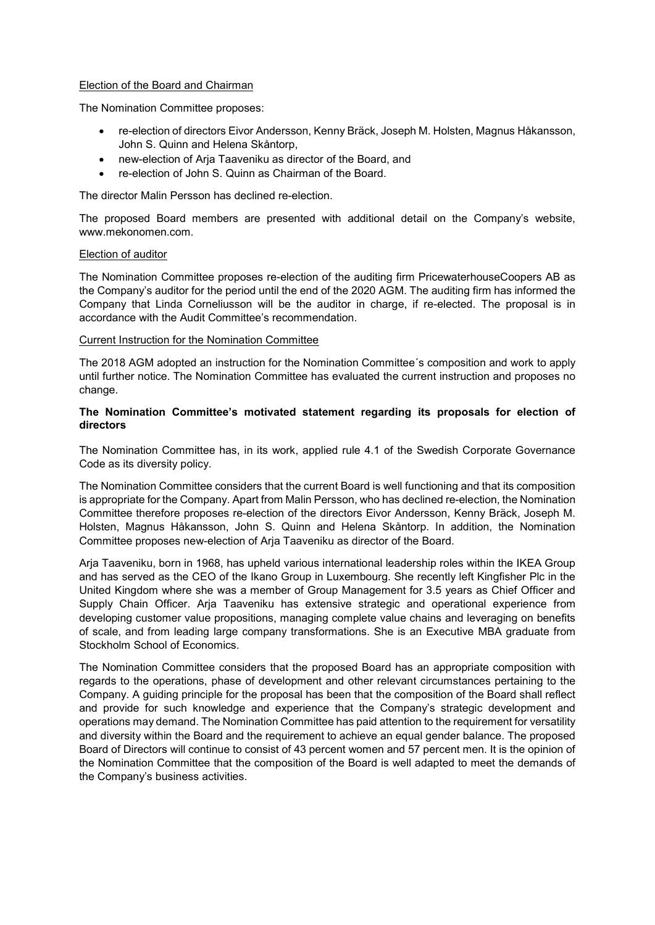#### Election of the Board and Chairman

The Nomination Committee proposes:

- re-election of directors Eivor Andersson, Kenny Bräck, Joseph M. Holsten, Magnus Håkansson, John S. Quinn and Helena Skåntorp,
- new-election of Arja Taaveniku as director of the Board, and
- re-election of John S. Quinn as Chairman of the Board.

The director Malin Persson has declined re-election.

The proposed Board members are presented with additional detail on the Company's website, www.mekonomen.com.

#### Election of auditor

The Nomination Committee proposes re-election of the auditing firm PricewaterhouseCoopers AB as the Company's auditor for the period until the end of the 2020 AGM. The auditing firm has informed the Company that Linda Corneliusson will be the auditor in charge, if re-elected. The proposal is in accordance with the Audit Committee's recommendation.

#### Current Instruction for the Nomination Committee

The 2018 AGM adopted an instruction for the Nomination Committee´s composition and work to apply until further notice. The Nomination Committee has evaluated the current instruction and proposes no change.

### **The Nomination Committee's motivated statement regarding its proposals for election of directors**

The Nomination Committee has, in its work, applied rule 4.1 of the Swedish Corporate Governance Code as its diversity policy.

The Nomination Committee considers that the current Board is well functioning and that its composition is appropriate for the Company. Apart from Malin Persson, who has declined re-election, the Nomination Committee therefore proposes re-election of the directors Eivor Andersson, Kenny Bräck, Joseph M. Holsten, Magnus Håkansson, John S. Quinn and Helena Skåntorp. In addition, the Nomination Committee proposes new-election of Arja Taaveniku as director of the Board.

Arja Taaveniku, born in 1968, has upheld various international leadership roles within the IKEA Group and has served as the CEO of the Ikano Group in Luxembourg. She recently left Kingfisher Plc in the United Kingdom where she was a member of Group Management for 3.5 years as Chief Officer and Supply Chain Officer. Arja Taaveniku has extensive strategic and operational experience from developing customer value propositions, managing complete value chains and leveraging on benefits of scale, and from leading large company transformations. She is an Executive MBA graduate from Stockholm School of Economics.

The Nomination Committee considers that the proposed Board has an appropriate composition with regards to the operations, phase of development and other relevant circumstances pertaining to the Company. A guiding principle for the proposal has been that the composition of the Board shall reflect and provide for such knowledge and experience that the Company's strategic development and operations may demand. The Nomination Committee has paid attention to the requirement for versatility and diversity within the Board and the requirement to achieve an equal gender balance. The proposed Board of Directors will continue to consist of 43 percent women and 57 percent men. It is the opinion of the Nomination Committee that the composition of the Board is well adapted to meet the demands of the Company's business activities.